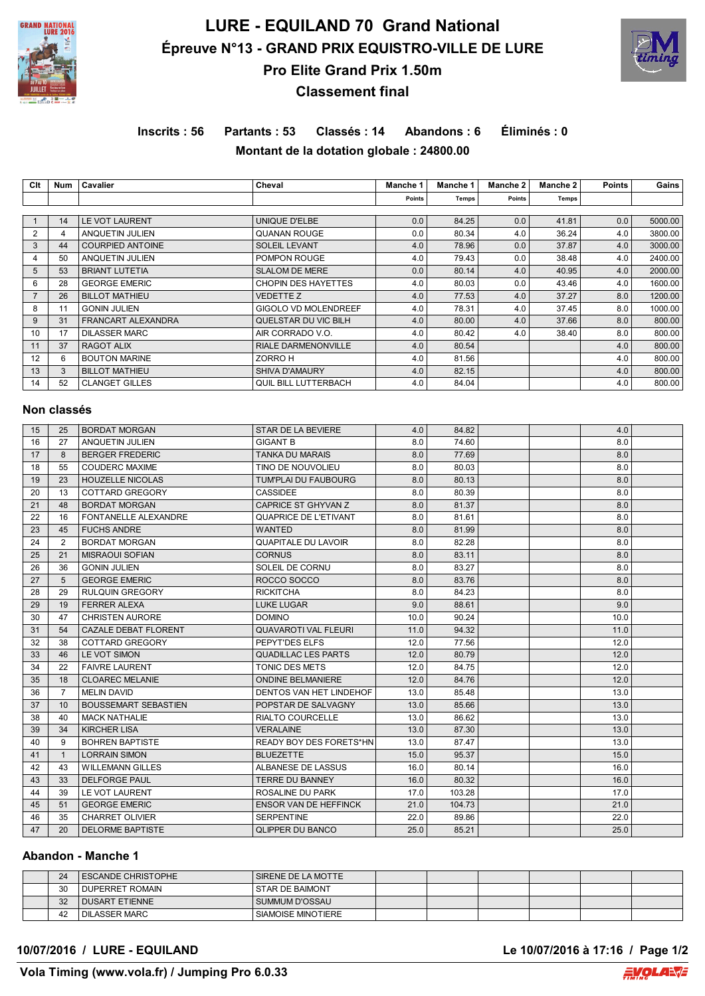

# **LURE - EQUILAND 70 Grand National Épreuve N°13 - GRAND PRIX EQUISTRO-VILLE DE LURE Pro Elite Grand Prix 1.50m**



# **Classement final**

# **Inscrits : 56 Partants : 53 Classés : 14 Abandons : 6 Éliminés : 0 Montant de la dotation globale : 24800.00**

| Clt            | Num | Cavalier                | Cheval                      | <b>Manche 1</b> | Manche 1 | Manche 2 | Manche 2 | <b>Points</b> | Gains   |
|----------------|-----|-------------------------|-----------------------------|-----------------|----------|----------|----------|---------------|---------|
|                |     |                         |                             | Points          | Temps    | Points   | Temps    |               |         |
|                |     |                         |                             |                 |          |          |          |               |         |
|                | 14  | <b>LE VOT LAURENT</b>   | UNIQUE D'ELBE               | 0.0             | 84.25    | 0.0      | 41.81    | 0.0           | 5000.00 |
| 2              | 4   | ANQUETIN JULIEN         | <b>QUANAN ROUGE</b>         | 0.0             | 80.34    | 4.0      | 36.24    | 4.0           | 3800.00 |
| 3              | 44  | <b>COURPIED ANTOINE</b> | <b>SOLEIL LEVANT</b>        | 4.0             | 78.96    | 0.0      | 37.87    | 4.0           | 3000.00 |
| 4              | 50  | ANQUETIN JULIEN         | POMPON ROUGE                | 4.0             | 79.43    | 0.0      | 38.48    | 4.0           | 2400.00 |
| 5              | 53  | <b>BRIANT LUTETIA</b>   | <b>SLALOM DE MERE</b>       | 0.0             | 80.14    | 4.0      | 40.95    | 4.0           | 2000.00 |
| 6              | 28  | <b>GEORGE EMERIC</b>    | <b>CHOPIN DES HAYETTES</b>  | 4.0             | 80.03    | 0.0      | 43.46    | 4.0           | 1600.00 |
| $\overline{7}$ | 26  | <b>BILLOT MATHIEU</b>   | <b>VEDETTE Z</b>            | 4.0             | 77.53    | 4.0      | 37.27    | 8.0           | 1200.00 |
| 8              | 11  | <b>GONIN JULIEN</b>     | <b>GIGOLO VD MOLENDREEF</b> | 4.0             | 78.31    | 4.0      | 37.45    | 8.0           | 1000.00 |
| 9              | 31  | FRANCART ALEXANDRA      | QUELSTAR DU VIC BILH        | 4.0             | 80.00    | 4.0      | 37.66    | 8.0           | 800.00  |
| 10             | 17  | <b>DILASSER MARC</b>    | AIR CORRADO V.O.            | 4.0             | 80.42    | 4.0      | 38.40    | 8.0           | 800.00  |
| 11             | 37  | <b>RAGOT ALIX</b>       | <b>RIALE DARMENONVILLE</b>  | 4.0             | 80.54    |          |          | 4.0           | 800.00  |
| 12             | 6   | <b>BOUTON MARINE</b>    | ZORRO H                     | 4.0             | 81.56    |          |          | 4.0           | 800.00  |
| 13             | 3   | <b>BILLOT MATHIEU</b>   | <b>SHIVA D'AMAURY</b>       | 4.0             | 82.15    |          |          | 4.0           | 800.00  |
| 14             | 52  | <b>CLANGET GILLES</b>   | QUIL BILL LUTTERBACH        | 4.0             | 84.04    |          |          | 4.0           | 800.00  |

## **Non classés**

| 15 | 25             | <b>BORDAT MORGAN</b>        | STAR DE LA BEVIERE             | 4.0  | 84.82  | 4.0  |  |
|----|----------------|-----------------------------|--------------------------------|------|--------|------|--|
| 16 | 27             | ANQUETIN JULIEN             | <b>GIGANT B</b>                | 8.0  | 74.60  | 8.0  |  |
| 17 | 8              | <b>BERGER FREDERIC</b>      | <b>TANKA DU MARAIS</b>         | 8.0  | 77.69  | 8.0  |  |
| 18 | 55             | <b>COUDERC MAXIME</b>       | TINO DE NOUVOLIEU              | 8.0  | 80.03  | 8.0  |  |
| 19 | 23             | <b>HOUZELLE NICOLAS</b>     | TUM'PLAI DU FAUBOURG           | 8.0  | 80.13  | 8.0  |  |
| 20 | 13             | <b>COTTARD GREGORY</b>      | <b>CASSIDEE</b>                | 8.0  | 80.39  | 8.0  |  |
| 21 | 48             | <b>BORDAT MORGAN</b>        | CAPRICE ST GHYVAN Z            | 8.0  | 81.37  | 8.0  |  |
| 22 | 16             | <b>FONTANELLE ALEXANDRE</b> | QUAPRICE DE L'ETIVANT          | 8.0  | 81.61  | 8.0  |  |
| 23 | 45             | <b>FUCHS ANDRE</b>          | WANTED                         | 8.0  | 81.99  | 8.0  |  |
| 24 | 2              | <b>BORDAT MORGAN</b>        | <b>QUAPITALE DU LAVOIR</b>     | 8.0  | 82.28  | 8.0  |  |
| 25 | 21             | <b>MISRAOUI SOFIAN</b>      | <b>CORNUS</b>                  | 8.0  | 83.11  | 8.0  |  |
| 26 | 36             | <b>GONIN JULIEN</b>         | SOLEIL DE CORNU                | 8.0  | 83.27  | 8.0  |  |
| 27 | 5              | <b>GEORGE EMERIC</b>        | ROCCO SOCCO                    | 8.0  | 83.76  | 8.0  |  |
| 28 | 29             | <b>RULQUIN GREGORY</b>      | <b>RICKITCHA</b>               | 8.0  | 84.23  | 8.0  |  |
| 29 | 19             | <b>FERRER ALEXA</b>         | <b>LUKE LUGAR</b>              | 9.0  | 88.61  | 9.0  |  |
| 30 | 47             | <b>CHRISTEN AURORE</b>      | <b>DOMINO</b>                  | 10.0 | 90.24  | 10.0 |  |
| 31 | 54             | <b>CAZALE DEBAT FLORENT</b> | <b>QUAVAROTI VAL FLEURI</b>    | 11.0 | 94.32  | 11.0 |  |
| 32 | 38             | COTTARD GREGORY             | PEPYT'DES ELFS                 | 12.0 | 77.56  | 12.0 |  |
| 33 | 46             | LE VOT SIMON                | <b>QUADILLAC LES PARTS</b>     | 12.0 | 80.79  | 12.0 |  |
| 34 | 22             | <b>FAIVRE LAURENT</b>       | TONIC DES METS                 | 12.0 | 84.75  | 12.0 |  |
| 35 | 18             | <b>CLOAREC MELANIE</b>      | <b>ONDINE BELMANIERE</b>       | 12.0 | 84.76  | 12.0 |  |
| 36 | $\overline{7}$ | <b>MELIN DAVID</b>          | DENTOS VAN HET LINDEHOF        | 13.0 | 85.48  | 13.0 |  |
| 37 | 10             | <b>BOUSSEMART SEBASTIEN</b> | POPSTAR DE SALVAGNY            | 13.0 | 85.66  | 13.0 |  |
| 38 | 40             | <b>MACK NATHALIE</b>        | <b>RIALTO COURCELLE</b>        | 13.0 | 86.62  | 13.0 |  |
| 39 | 34             | <b>KIRCHER LISA</b>         | <b>VERALAINE</b>               | 13.0 | 87.30  | 13.0 |  |
| 40 | 9              | <b>BOHREN BAPTISTE</b>      | <b>READY BOY DES FORETS*HN</b> | 13.0 | 87.47  | 13.0 |  |
| 41 | $\mathbf{1}$   | <b>LORRAIN SIMON</b>        | <b>BLUEZETTE</b>               | 15.0 | 95.37  | 15.0 |  |
| 42 | 43             | <b>WILLEMANN GILLES</b>     | ALBANESE DE LASSUS             | 16.0 | 80.14  | 16.0 |  |
| 43 | 33             | <b>DELFORGE PAUL</b>        | <b>TERRE DU BANNEY</b>         | 16.0 | 80.32  | 16.0 |  |
| 44 | 39             | LE VOT LAURENT              | ROSALINE DU PARK               | 17.0 | 103.28 | 17.0 |  |
| 45 | 51             | <b>GEORGE EMERIC</b>        | <b>ENSOR VAN DE HEFFINCK</b>   | 21.0 | 104.73 | 21.0 |  |
| 46 | 35             | <b>CHARRET OLIVIER</b>      | <b>SERPENTINE</b>              | 22.0 | 89.86  | 22.0 |  |
| 47 | 20             | <b>DELORME BAPTISTE</b>     | <b>QLIPPER DU BANCO</b>        | 25.0 | 85.21  | 25.0 |  |

## **Abandon - Manche 1**

| 24 | <b>ESCANDE CHRISTOPHE</b> | SIRENE DE LA MOTTE |  |  |  |
|----|---------------------------|--------------------|--|--|--|
| 30 | I DUPERRET ROMAIN         | STAR DE BAIMONT    |  |  |  |
| 32 | I DUSART ETIENNE          | SUMMUM D'OSSAU     |  |  |  |
| 42 | I DILASSER MARC           | SIAMOISE MINOTIERE |  |  |  |

#### **10/07/2016 / LURE - EQUILAND Le 10/07/2016 à 17:16 / Page 1/2**